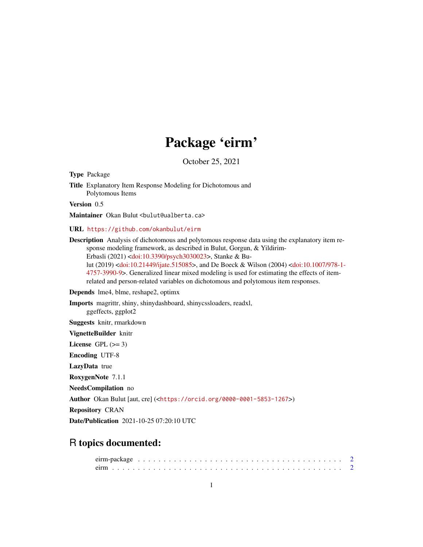## Package 'eirm'

October 25, 2021

<span id="page-0-0"></span>Type Package

Title Explanatory Item Response Modeling for Dichotomous and Polytomous Items

Version 0.5

Maintainer Okan Bulut <br/>bulut@ualberta.ca>

URL <https://github.com/okanbulut/eirm>

Description Analysis of dichotomous and polytomous response data using the explanatory item response modeling framework, as described in Bulut, Gorgun, & Yildirim-Erbasli (2021) [<doi:10.3390/psych3030023>](https://doi.org/10.3390/psych3030023), Stanke & Bulut (2019) [<doi:10.21449/ijate.515085>](https://doi.org/10.21449/ijate.515085), and De Boeck & Wilson (2004) [<doi:10.1007/978-1-](https://doi.org/10.1007/978-1-4757-3990-9) [4757-3990-9>](https://doi.org/10.1007/978-1-4757-3990-9). Generalized linear mixed modeling is used for estimating the effects of itemrelated and person-related variables on dichotomous and polytomous item responses.

Depends lme4, blme, reshape2, optimx

Imports magrittr, shiny, shinydashboard, shinycssloaders, readxl, ggeffects, ggplot2

Suggests knitr, rmarkdown

VignetteBuilder knitr

License GPL  $(>= 3)$ 

Encoding UTF-8

LazyData true

RoxygenNote 7.1.1

NeedsCompilation no

Author Okan Bulut [aut, cre] (<<https://orcid.org/0000-0001-5853-1267>>)

Repository CRAN

Date/Publication 2021-10-25 07:20:10 UTC

### R topics documented: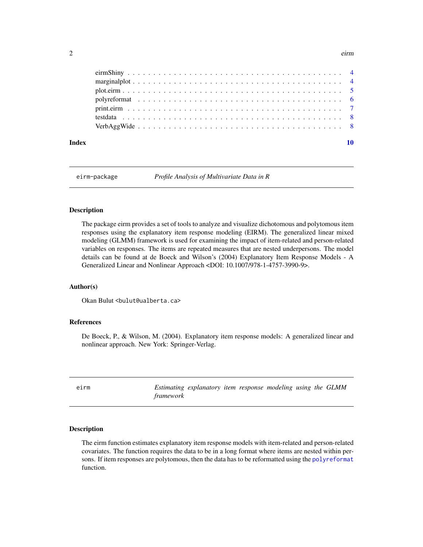#### <span id="page-1-0"></span>2 eirm

| Index |  |  |  |  |  |  |  |  |  |  |  |  |  |  |  |  |  |  |
|-------|--|--|--|--|--|--|--|--|--|--|--|--|--|--|--|--|--|--|

eirm-package *Profile Analysis of Multivariate Data in R*

#### Description

The package eirm provides a set of tools to analyze and visualize dichotomous and polytomous item responses using the explanatory item response modeling (EIRM). The generalized linear mixed modeling (GLMM) framework is used for examining the impact of item-related and person-related variables on responses. The items are repeated measures that are nested underpersons. The model details can be found at de Boeck and Wilson's (2004) Explanatory Item Response Models - A Generalized Linear and Nonlinear Approach <DOI: 10.1007/978-1-4757-3990-9>.

#### Author(s)

Okan Bulut <br/>bulut@ualberta.ca>

#### References

De Boeck, P., & Wilson, M. (2004). Explanatory item response models: A generalized linear and nonlinear approach. New York: Springer-Verlag.

<span id="page-1-1"></span>

| eirm |                  | Estimating explanatory item response modeling using the GLMM |  |  |  |
|------|------------------|--------------------------------------------------------------|--|--|--|
|      | <i>framework</i> |                                                              |  |  |  |

#### Description

The eirm function estimates explanatory item response models with item-related and person-related covariates. The function requires the data to be in a long format where items are nested within persons. If item responses are polytomous, then the data has to be reformatted using the [polyreformat](#page-5-1) function.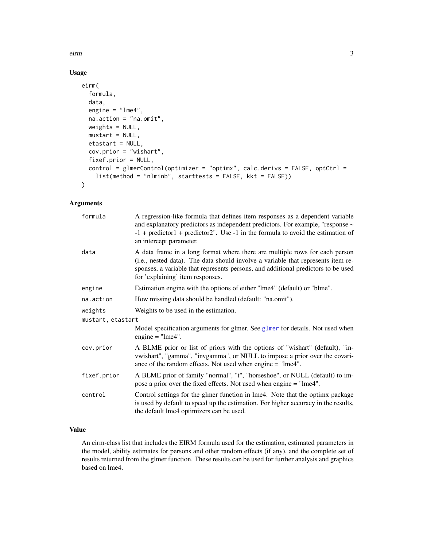<span id="page-2-0"></span>eirm 3

#### Usage

```
eirm(
  formula,
  data,
  engine = "lme4",
  na.action = "na.omit",
 weights = NULL,
 mustart = NULL,
  etastart = NULL,
  cov.prior = "wishart",
  fixef.prior = NULL,
  control = glmerControl(optimizer = "optimx", calc.derivs = FALSE, optCtrl =
    list(method = "nlminb", starttests = FALSE, kkt = FALSE))
)
```
#### Arguments

| formula           | A regression-like formula that defines item responses as a dependent variable<br>and explanatory predictors as independent predictors. For example, "response ~<br>$-1$ + predictor1 + predictor2". Use -1 in the formula to avoid the estimation of<br>an intercept parameter.          |
|-------------------|------------------------------------------------------------------------------------------------------------------------------------------------------------------------------------------------------------------------------------------------------------------------------------------|
| data              | A data frame in a long format where there are multiple rows for each person<br>(i.e., nested data). The data should involve a variable that represents item re-<br>sponses, a variable that represents persons, and additional predictors to be used<br>for 'explaining' item responses. |
| engine            | Estimation engine with the options of either "lme4" (default) or "blme".                                                                                                                                                                                                                 |
| na.action         | How missing data should be handled (default: "na.omit").                                                                                                                                                                                                                                 |
| weights           | Weights to be used in the estimation.                                                                                                                                                                                                                                                    |
| mustart, etastart |                                                                                                                                                                                                                                                                                          |
|                   | Model specification arguments for glmer. See glmer for details. Not used when<br>engine $=$ "lme4".                                                                                                                                                                                      |
| cov.prior         | A BLME prior or list of priors with the options of "wishart" (default), "in-<br>vwishart", "gamma", "invgamma", or NULL to impose a prior over the covari-<br>ance of the random effects. Not used when engine = "lme4".                                                                 |
| fixef.prior       | A BLME prior of family "normal", "t", "horseshoe", or NULL (default) to im-<br>pose a prior over the fixed effects. Not used when engine = "lme4".                                                                                                                                       |
| control           | Control settings for the glmer function in lme4. Note that the optimx package<br>is used by default to speed up the estimation. For higher accuracy in the results,<br>the default lme4 optimizers can be used.                                                                          |

#### Value

An eirm-class list that includes the EIRM formula used for the estimation, estimated parameters in the model, ability estimates for persons and other random effects (if any), and the complete set of results returned from the glmer function. These results can be used for further analysis and graphics based on lme4.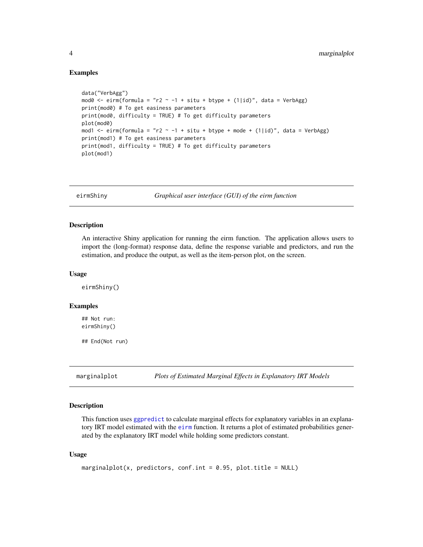#### Examples

```
data("VerbAgg")
mod0 <- eirm(formula = "r2 ~ -1 + situ + btype + (1|id)", data = VerbAgg)
print(mod0) # To get easiness parameters
print(mod0, difficulty = TRUE) # To get difficulty parameters
plot(mod0)
mod1 <- eirm(formula = "r2 \sim -1 + situ + btype + mode + (1|id)", data = VerbAgg)
print(mod1) # To get easiness parameters
print(mod1, difficulty = TRUE) # To get difficulty parameters
plot(mod1)
```
eirmShiny *Graphical user interface (GUI) of the eirm function*

#### Description

An interactive Shiny application for running the eirm function. The application allows users to import the (long-format) response data, define the response variable and predictors, and run the estimation, and produce the output, as well as the item-person plot, on the screen.

#### Usage

eirmShiny()

#### Examples

## Not run: eirmShiny()

## End(Not run)

marginalplot *Plots of Estimated Marginal Effects in Explanatory IRT Models*

#### **Description**

This function uses [ggpredict](#page-0-0) to calculate marginal effects for explanatory variables in an explanatory IRT model estimated with the [eirm](#page-1-1) function. It returns a plot of estimated probabilities generated by the explanatory IRT model while holding some predictors constant.

#### Usage

```
marginalplot(x, predictors, conf.int = 0.95, plot.title = NULL)
```
<span id="page-3-0"></span>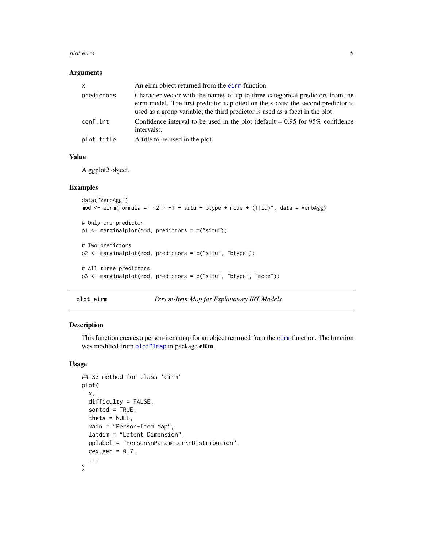#### <span id="page-4-0"></span>plot.eirm **5**

#### Arguments

| X          | An eirm object returned from the eirm function.                                                                                                                                                                                                      |
|------------|------------------------------------------------------------------------------------------------------------------------------------------------------------------------------------------------------------------------------------------------------|
| predictors | Character vector with the names of up to three categorical predictors from the<br>eirm model. The first predictor is plotted on the x-axis; the second predictor is<br>used as a group variable; the third predictor is used as a facet in the plot. |
| conf.int   | Confidence interval to be used in the plot (default = $0.95$ for $95\%$ confidence<br>intervals).                                                                                                                                                    |
| plot.title | A title to be used in the plot.                                                                                                                                                                                                                      |

#### Value

A ggplot2 object.

#### Examples

```
data("VerbAgg")
mod \le eirm(formula = "r2 \sim -1 + situ + btype + mode + (1|id)", data = VerbAgg)
# Only one predictor
p1 <- marginalplot(mod, predictors = c("situ"))
# Two predictors
p2 <- marginalplot(mod, predictors = c("situ", "btype"))
# All three predictors
p3 <- marginalplot(mod, predictors = c("situ", "btype", "mode"))
```
plot.eirm *Person-Item Map for Explanatory IRT Models*

#### Description

This function creates a person-item map for an object returned from the [eirm](#page-1-1) function. The function was modified from [plotPImap](#page-0-0) in package eRm.

#### Usage

```
## S3 method for class 'eirm'
plot(
  x,
 difficulty = FALSE,
  sorted = TRUE,
  theta = NULL,
 main = "Person-Item Map",
  latdim = "Latent Dimension",
 pplabel = "Person\nParameter\nDistribution",
 cex.gen = 0.7,
  ...
\mathcal{L}
```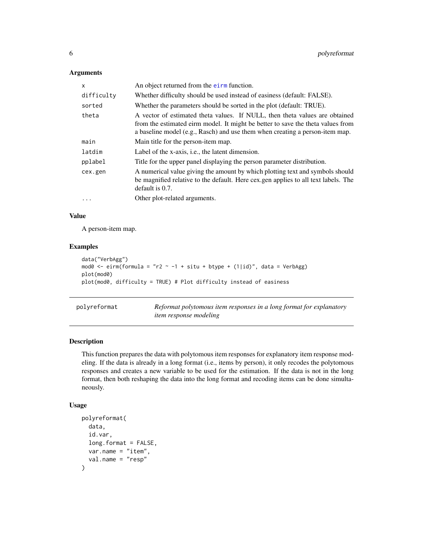#### <span id="page-5-0"></span>Arguments

| x          | An object returned from the eirm function.                                                                                                                                                                                                     |
|------------|------------------------------------------------------------------------------------------------------------------------------------------------------------------------------------------------------------------------------------------------|
| difficulty | Whether difficulty should be used instead of easiness (default: FALSE).                                                                                                                                                                        |
| sorted     | Whether the parameters should be sorted in the plot (default: TRUE).                                                                                                                                                                           |
| theta      | A vector of estimated theta values. If NULL, then theta values are obtained<br>from the estimated eirm model. It might be better to save the theta values from<br>a baseline model (e.g., Rasch) and use them when creating a person-item map. |
| main       | Main title for the person-item map.                                                                                                                                                                                                            |
| latdim     | Label of the x-axis, i.e., the latent dimension.                                                                                                                                                                                               |
| pplabel    | Title for the upper panel displaying the person parameter distribution.                                                                                                                                                                        |
| cex.gen    | A numerical value giving the amount by which plotting text and symbols should<br>be magnified relative to the default. Here cex.gen applies to all text labels. The<br>default is 0.7.                                                         |
| .          | Other plot-related arguments.                                                                                                                                                                                                                  |
|            |                                                                                                                                                                                                                                                |

#### Value

A person-item map.

#### Examples

```
data("VerbAgg")
mod0 <- eirm(formula = "r2 ~ -1 + situ + btype + (1|id)", data = VerbAgg)
plot(mod0)
plot(mod0, difficulty = TRUE) # Plot difficulty instead of easiness
```
<span id="page-5-1"></span>

| polyreformat | Reformat polytomous item responses in a long format for explanatory |
|--------------|---------------------------------------------------------------------|
|              | <i>item response modeling</i>                                       |

#### Description

This function prepares the data with polytomous item responses for explanatory item response modeling. If the data is already in a long format (i.e., items by person), it only recodes the polytomous responses and creates a new variable to be used for the estimation. If the data is not in the long format, then both reshaping the data into the long format and recoding items can be done simultaneously.

#### Usage

```
polyreformat(
  data,
  id.var,
  long.format = FALSE,
  var.name = "item",
  val.name = "resp"
\mathcal{E}
```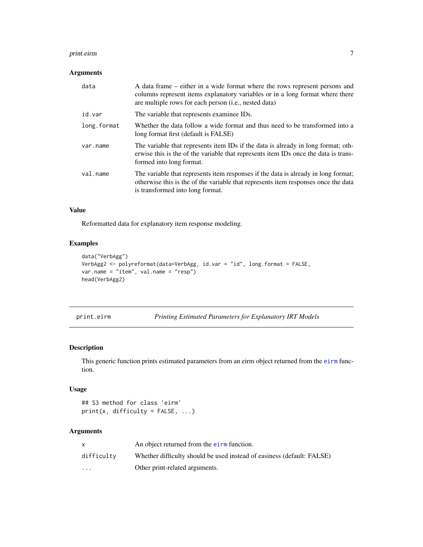#### <span id="page-6-0"></span>print.eirm 7

#### Arguments

| data        | A data frame – either in a wide format where the rows represent persons and<br>columns represent items explanatory variables or in a long format where there<br>are multiple rows for each person (i.e., nested data) |
|-------------|-----------------------------------------------------------------------------------------------------------------------------------------------------------------------------------------------------------------------|
| id.var      | The variable that represents examinee IDs.                                                                                                                                                                            |
| long.format | Whether the data follow a wide format and thus need to be transformed into a<br>long format first (default is FALSE)                                                                                                  |
| var.name    | The variable that represents item IDs if the data is already in long format; oth-<br>erwise this is the of the variable that represents item IDs once the data is trans-<br>formed into long format.                  |
| val.name    | The variable that represents item responses if the data is already in long format;<br>otherwise this is the of the variable that represents item responses once the data<br>is transformed into long format.          |

#### Value

Reformatted data for explanatory item response modeling.

#### Examples

```
data("VerbAgg")
VerbAgg2 <- polyreformat(data=VerbAgg, id.var = "id", long.format = FALSE,
var.name = "item", val.name = "resp")
head(VerbAgg2)
```
print.eirm *Printing Estimated Parameters for Explanatory IRT Models*

#### Description

This generic function prints estimated parameters from an [eirm](#page-1-1) object returned from the eirm function.

#### Usage

```
## S3 method for class 'eirm'
print(x, difficulty = FALSE, ...)
```
#### Arguments

|            | An object returned from the eirm function.                             |
|------------|------------------------------------------------------------------------|
| difficulty | Whether difficulty should be used instead of easiness (default: FALSE) |
| $\cdot$    | Other print-related arguments.                                         |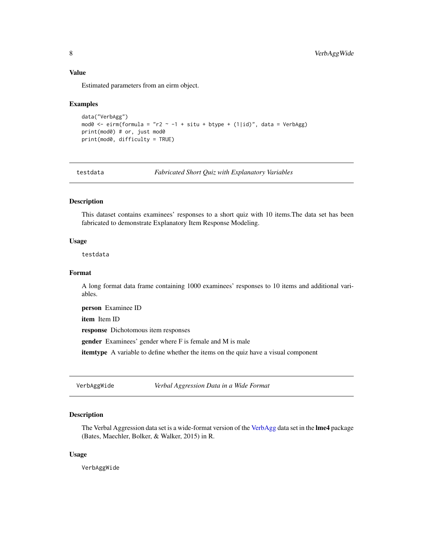#### <span id="page-7-0"></span>Value

Estimated parameters from an eirm object.

#### Examples

```
data("VerbAgg")
mod0 <- eirm(formula = "r2 ~ -1 + situ + btype + (1|id)", data = VerbAgg)
print(mod0) # or, just mod0
print(mod0, difficulty = TRUE)
```
testdata *Fabricated Short Quiz with Explanatory Variables*

#### Description

This dataset contains examinees' responses to a short quiz with 10 items.The data set has been fabricated to demonstrate Explanatory Item Response Modeling.

#### Usage

testdata

#### Format

A long format data frame containing 1000 examinees' responses to 10 items and additional variables.

person Examinee ID

item Item ID

response Dichotomous item responses

gender Examinees' gender where F is female and M is male

itemtype A variable to define whether the items on the quiz have a visual component

VerbAggWide *Verbal Aggression Data in a Wide Format*

#### Description

The Verbal Aggression data set is a wide-format version of the [VerbAgg](#page-0-0) data set in the **lme4** package (Bates, Maechler, Bolker, & Walker, 2015) in R.

#### Usage

VerbAggWide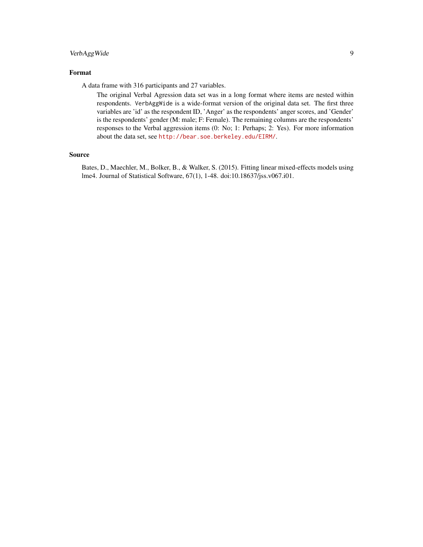#### VerbAggWide 9

#### Format

A data frame with 316 participants and 27 variables.

The original Verbal Agression data set was in a long format where items are nested within respondents. VerbAggWide is a wide-format version of the original data set. The first three variables are 'id' as the respondent ID, 'Anger' as the respondents' anger scores, and 'Gender' is the respondents' gender (M: male; F: Female). The remaining columns are the respondents' responses to the Verbal aggression items (0: No; 1: Perhaps; 2: Yes). For more information about the data set, see <http://bear.soe.berkeley.edu/EIRM/>.

#### Source

Bates, D., Maechler, M., Bolker, B., & Walker, S. (2015). Fitting linear mixed-effects models using lme4. Journal of Statistical Software, 67(1), 1-48. doi:10.18637/jss.v067.i01.